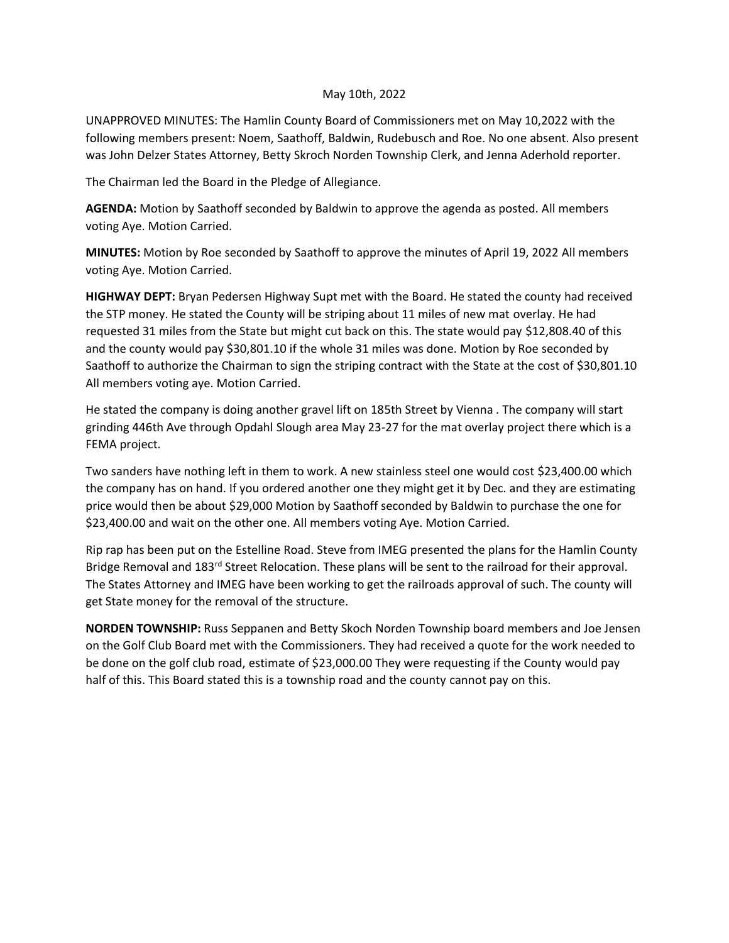## May 10th, 2022

UNAPPROVED MINUTES: The Hamlin County Board of Commissioners met on May 10,2022 with the following members present: Noem, Saathoff, Baldwin, Rudebusch and Roe. No one absent. Also present was John Delzer States Attorney, Betty Skroch Norden Township Clerk, and Jenna Aderhold reporter.

The Chairman led the Board in the Pledge of Allegiance.

**AGENDA:** Motion by Saathoff seconded by Baldwin to approve the agenda as posted. All members voting Aye. Motion Carried.

**MINUTES:** Motion by Roe seconded by Saathoff to approve the minutes of April 19, 2022 All members voting Aye. Motion Carried.

**HIGHWAY DEPT:** Bryan Pedersen Highway Supt met with the Board. He stated the county had received the STP money. He stated the County will be striping about 11 miles of new mat overlay. He had requested 31 miles from the State but might cut back on this. The state would pay \$12,808.40 of this and the county would pay \$30,801.10 if the whole 31 miles was done. Motion by Roe seconded by Saathoff to authorize the Chairman to sign the striping contract with the State at the cost of \$30,801.10 All members voting aye. Motion Carried.

He stated the company is doing another gravel lift on 185th Street by Vienna . The company will start grinding 446th Ave through Opdahl Slough area May 23-27 for the mat overlay project there which is a FEMA project.

Two sanders have nothing left in them to work. A new stainless steel one would cost \$23,400.00 which the company has on hand. If you ordered another one they might get it by Dec. and they are estimating price would then be about \$29,000 Motion by Saathoff seconded by Baldwin to purchase the one for \$23,400.00 and wait on the other one. All members voting Aye. Motion Carried.

Rip rap has been put on the Estelline Road. Steve from IMEG presented the plans for the Hamlin County Bridge Removal and 183<sup>rd</sup> Street Relocation. These plans will be sent to the railroad for their approval. The States Attorney and IMEG have been working to get the railroads approval of such. The county will get State money for the removal of the structure.

**NORDEN TOWNSHIP:** Russ Seppanen and Betty Skoch Norden Township board members and Joe Jensen on the Golf Club Board met with the Commissioners. They had received a quote for the work needed to be done on the golf club road, estimate of \$23,000.00 They were requesting if the County would pay half of this. This Board stated this is a township road and the county cannot pay on this.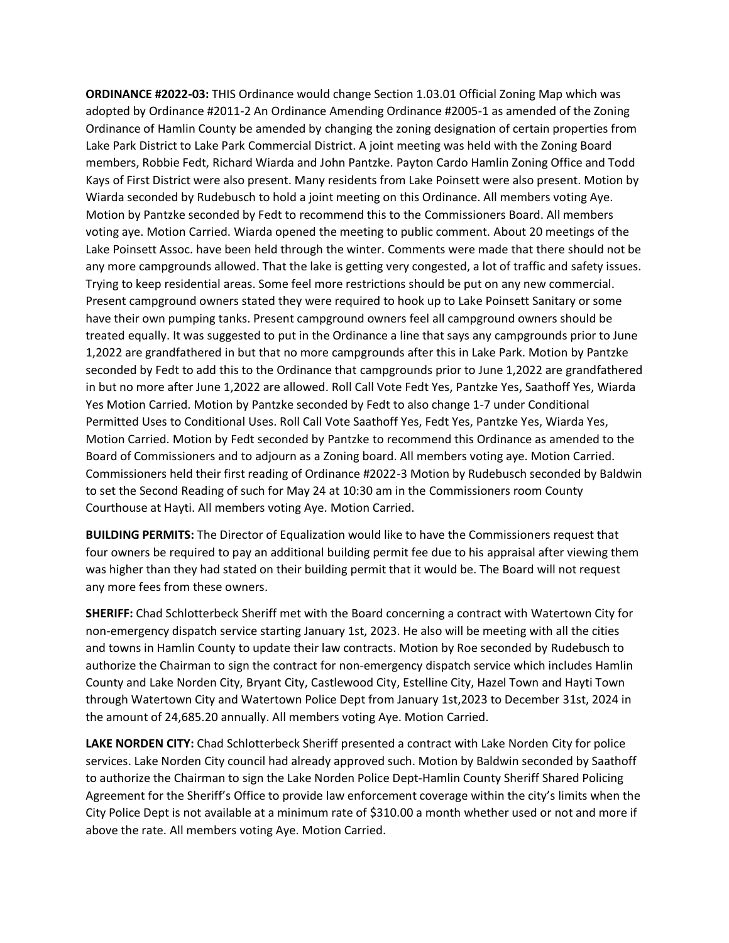**ORDINANCE #2022-03:** THIS Ordinance would change Section 1.03.01 Official Zoning Map which was adopted by Ordinance #2011-2 An Ordinance Amending Ordinance #2005-1 as amended of the Zoning Ordinance of Hamlin County be amended by changing the zoning designation of certain properties from Lake Park District to Lake Park Commercial District. A joint meeting was held with the Zoning Board members, Robbie Fedt, Richard Wiarda and John Pantzke. Payton Cardo Hamlin Zoning Office and Todd Kays of First District were also present. Many residents from Lake Poinsett were also present. Motion by Wiarda seconded by Rudebusch to hold a joint meeting on this Ordinance. All members voting Aye. Motion by Pantzke seconded by Fedt to recommend this to the Commissioners Board. All members voting aye. Motion Carried. Wiarda opened the meeting to public comment. About 20 meetings of the Lake Poinsett Assoc. have been held through the winter. Comments were made that there should not be any more campgrounds allowed. That the lake is getting very congested, a lot of traffic and safety issues. Trying to keep residential areas. Some feel more restrictions should be put on any new commercial. Present campground owners stated they were required to hook up to Lake Poinsett Sanitary or some have their own pumping tanks. Present campground owners feel all campground owners should be treated equally. It was suggested to put in the Ordinance a line that says any campgrounds prior to June 1,2022 are grandfathered in but that no more campgrounds after this in Lake Park. Motion by Pantzke seconded by Fedt to add this to the Ordinance that campgrounds prior to June 1,2022 are grandfathered in but no more after June 1,2022 are allowed. Roll Call Vote Fedt Yes, Pantzke Yes, Saathoff Yes, Wiarda Yes Motion Carried. Motion by Pantzke seconded by Fedt to also change 1-7 under Conditional Permitted Uses to Conditional Uses. Roll Call Vote Saathoff Yes, Fedt Yes, Pantzke Yes, Wiarda Yes, Motion Carried. Motion by Fedt seconded by Pantzke to recommend this Ordinance as amended to the Board of Commissioners and to adjourn as a Zoning board. All members voting aye. Motion Carried. Commissioners held their first reading of Ordinance #2022-3 Motion by Rudebusch seconded by Baldwin to set the Second Reading of such for May 24 at 10:30 am in the Commissioners room County Courthouse at Hayti. All members voting Aye. Motion Carried.

**BUILDING PERMITS:** The Director of Equalization would like to have the Commissioners request that four owners be required to pay an additional building permit fee due to his appraisal after viewing them was higher than they had stated on their building permit that it would be. The Board will not request any more fees from these owners.

**SHERIFF:** Chad Schlotterbeck Sheriff met with the Board concerning a contract with Watertown City for non-emergency dispatch service starting January 1st, 2023. He also will be meeting with all the cities and towns in Hamlin County to update their law contracts. Motion by Roe seconded by Rudebusch to authorize the Chairman to sign the contract for non-emergency dispatch service which includes Hamlin County and Lake Norden City, Bryant City, Castlewood City, Estelline City, Hazel Town and Hayti Town through Watertown City and Watertown Police Dept from January 1st,2023 to December 31st, 2024 in the amount of 24,685.20 annually. All members voting Aye. Motion Carried.

**LAKE NORDEN CITY:** Chad Schlotterbeck Sheriff presented a contract with Lake Norden City for police services. Lake Norden City council had already approved such. Motion by Baldwin seconded by Saathoff to authorize the Chairman to sign the Lake Norden Police Dept-Hamlin County Sheriff Shared Policing Agreement for the Sheriff's Office to provide law enforcement coverage within the city's limits when the City Police Dept is not available at a minimum rate of \$310.00 a month whether used or not and more if above the rate. All members voting Aye. Motion Carried.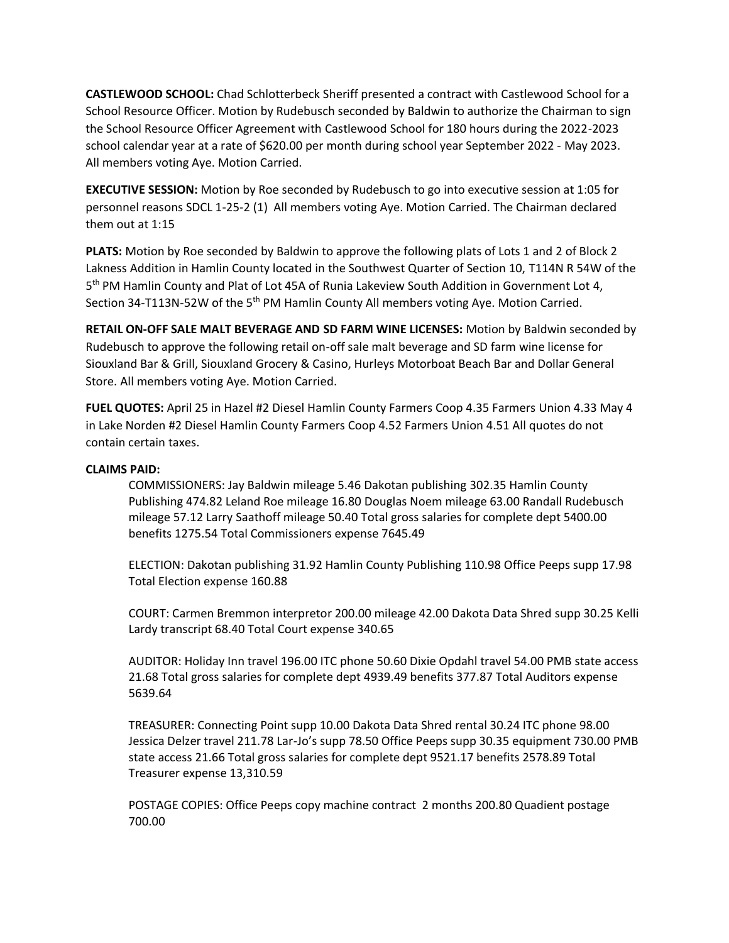**CASTLEWOOD SCHOOL:** Chad Schlotterbeck Sheriff presented a contract with Castlewood School for a School Resource Officer. Motion by Rudebusch seconded by Baldwin to authorize the Chairman to sign the School Resource Officer Agreement with Castlewood School for 180 hours during the 2022-2023 school calendar year at a rate of \$620.00 per month during school year September 2022 - May 2023. All members voting Aye. Motion Carried.

**EXECUTIVE SESSION:** Motion by Roe seconded by Rudebusch to go into executive session at 1:05 for personnel reasons SDCL 1-25-2 (1) All members voting Aye. Motion Carried. The Chairman declared them out at 1:15

**PLATS:** Motion by Roe seconded by Baldwin to approve the following plats of Lots 1 and 2 of Block 2 Lakness Addition in Hamlin County located in the Southwest Quarter of Section 10, T114N R 54W of the 5<sup>th</sup> PM Hamlin County and Plat of Lot 45A of Runia Lakeview South Addition in Government Lot 4, Section 34-T113N-52W of the 5<sup>th</sup> PM Hamlin County All members voting Aye. Motion Carried.

**RETAIL ON-OFF SALE MALT BEVERAGE AND SD FARM WINE LICENSES:** Motion by Baldwin seconded by Rudebusch to approve the following retail on-off sale malt beverage and SD farm wine license for Siouxland Bar & Grill, Siouxland Grocery & Casino, Hurleys Motorboat Beach Bar and Dollar General Store. All members voting Aye. Motion Carried.

**FUEL QUOTES:** April 25 in Hazel #2 Diesel Hamlin County Farmers Coop 4.35 Farmers Union 4.33 May 4 in Lake Norden #2 Diesel Hamlin County Farmers Coop 4.52 Farmers Union 4.51 All quotes do not contain certain taxes.

## **CLAIMS PAID:**

COMMISSIONERS: Jay Baldwin mileage 5.46 Dakotan publishing 302.35 Hamlin County Publishing 474.82 Leland Roe mileage 16.80 Douglas Noem mileage 63.00 Randall Rudebusch mileage 57.12 Larry Saathoff mileage 50.40 Total gross salaries for complete dept 5400.00 benefits 1275.54 Total Commissioners expense 7645.49

ELECTION: Dakotan publishing 31.92 Hamlin County Publishing 110.98 Office Peeps supp 17.98 Total Election expense 160.88

COURT: Carmen Bremmon interpretor 200.00 mileage 42.00 Dakota Data Shred supp 30.25 Kelli Lardy transcript 68.40 Total Court expense 340.65

AUDITOR: Holiday Inn travel 196.00 ITC phone 50.60 Dixie Opdahl travel 54.00 PMB state access 21.68 Total gross salaries for complete dept 4939.49 benefits 377.87 Total Auditors expense 5639.64

TREASURER: Connecting Point supp 10.00 Dakota Data Shred rental 30.24 ITC phone 98.00 Jessica Delzer travel 211.78 Lar-Jo's supp 78.50 Office Peeps supp 30.35 equipment 730.00 PMB state access 21.66 Total gross salaries for complete dept 9521.17 benefits 2578.89 Total Treasurer expense 13,310.59

POSTAGE COPIES: Office Peeps copy machine contract 2 months 200.80 Quadient postage 700.00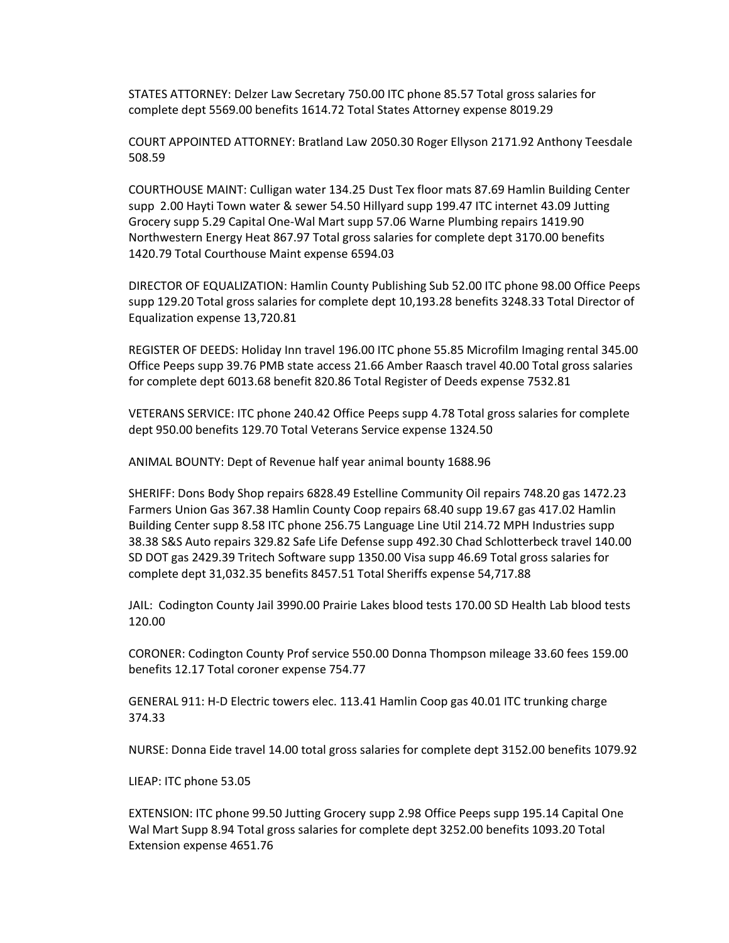STATES ATTORNEY: Delzer Law Secretary 750.00 ITC phone 85.57 Total gross salaries for complete dept 5569.00 benefits 1614.72 Total States Attorney expense 8019.29

COURT APPOINTED ATTORNEY: Bratland Law 2050.30 Roger Ellyson 2171.92 Anthony Teesdale 508.59

COURTHOUSE MAINT: Culligan water 134.25 Dust Tex floor mats 87.69 Hamlin Building Center supp 2.00 Hayti Town water & sewer 54.50 Hillyard supp 199.47 ITC internet 43.09 Jutting Grocery supp 5.29 Capital One-Wal Mart supp 57.06 Warne Plumbing repairs 1419.90 Northwestern Energy Heat 867.97 Total gross salaries for complete dept 3170.00 benefits 1420.79 Total Courthouse Maint expense 6594.03

DIRECTOR OF EQUALIZATION: Hamlin County Publishing Sub 52.00 ITC phone 98.00 Office Peeps supp 129.20 Total gross salaries for complete dept 10,193.28 benefits 3248.33 Total Director of Equalization expense 13,720.81

REGISTER OF DEEDS: Holiday Inn travel 196.00 ITC phone 55.85 Microfilm Imaging rental 345.00 Office Peeps supp 39.76 PMB state access 21.66 Amber Raasch travel 40.00 Total gross salaries for complete dept 6013.68 benefit 820.86 Total Register of Deeds expense 7532.81

VETERANS SERVICE: ITC phone 240.42 Office Peeps supp 4.78 Total gross salaries for complete dept 950.00 benefits 129.70 Total Veterans Service expense 1324.50

ANIMAL BOUNTY: Dept of Revenue half year animal bounty 1688.96

SHERIFF: Dons Body Shop repairs 6828.49 Estelline Community Oil repairs 748.20 gas 1472.23 Farmers Union Gas 367.38 Hamlin County Coop repairs 68.40 supp 19.67 gas 417.02 Hamlin Building Center supp 8.58 ITC phone 256.75 Language Line Util 214.72 MPH Industries supp 38.38 S&S Auto repairs 329.82 Safe Life Defense supp 492.30 Chad Schlotterbeck travel 140.00 SD DOT gas 2429.39 Tritech Software supp 1350.00 Visa supp 46.69 Total gross salaries for complete dept 31,032.35 benefits 8457.51 Total Sheriffs expense 54,717.88

JAIL: Codington County Jail 3990.00 Prairie Lakes blood tests 170.00 SD Health Lab blood tests 120.00

CORONER: Codington County Prof service 550.00 Donna Thompson mileage 33.60 fees 159.00 benefits 12.17 Total coroner expense 754.77

GENERAL 911: H-D Electric towers elec. 113.41 Hamlin Coop gas 40.01 ITC trunking charge 374.33

NURSE: Donna Eide travel 14.00 total gross salaries for complete dept 3152.00 benefits 1079.92

LIEAP: ITC phone 53.05

EXTENSION: ITC phone 99.50 Jutting Grocery supp 2.98 Office Peeps supp 195.14 Capital One Wal Mart Supp 8.94 Total gross salaries for complete dept 3252.00 benefits 1093.20 Total Extension expense 4651.76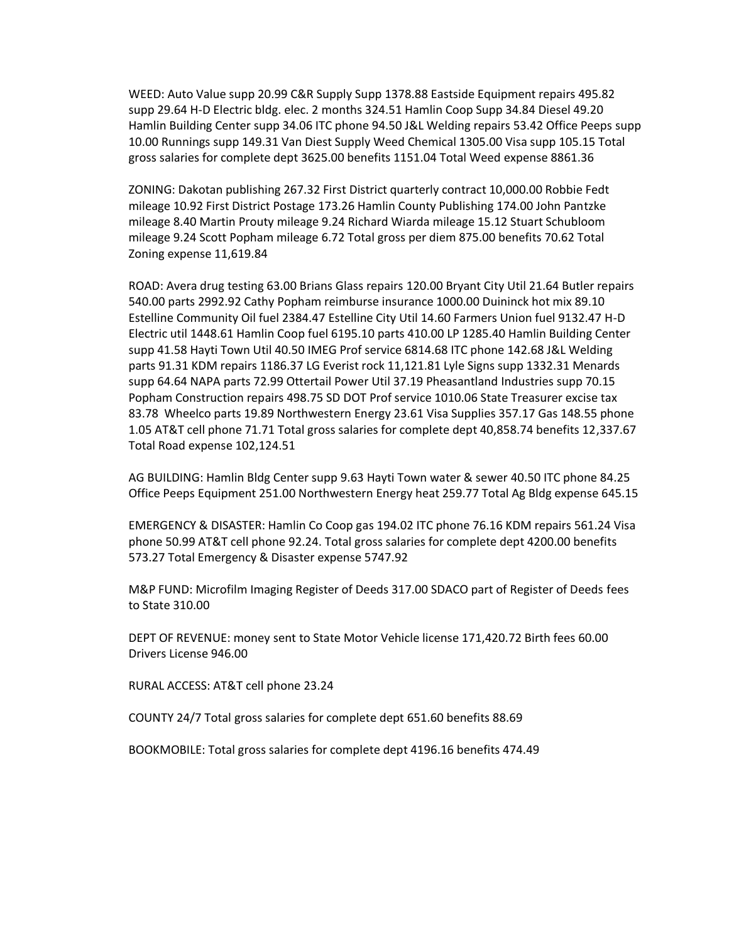WEED: Auto Value supp 20.99 C&R Supply Supp 1378.88 Eastside Equipment repairs 495.82 supp 29.64 H-D Electric bldg. elec. 2 months 324.51 Hamlin Coop Supp 34.84 Diesel 49.20 Hamlin Building Center supp 34.06 ITC phone 94.50 J&L Welding repairs 53.42 Office Peeps supp 10.00 Runnings supp 149.31 Van Diest Supply Weed Chemical 1305.00 Visa supp 105.15 Total gross salaries for complete dept 3625.00 benefits 1151.04 Total Weed expense 8861.36

ZONING: Dakotan publishing 267.32 First District quarterly contract 10,000.00 Robbie Fedt mileage 10.92 First District Postage 173.26 Hamlin County Publishing 174.00 John Pantzke mileage 8.40 Martin Prouty mileage 9.24 Richard Wiarda mileage 15.12 Stuart Schubloom mileage 9.24 Scott Popham mileage 6.72 Total gross per diem 875.00 benefits 70.62 Total Zoning expense 11,619.84

ROAD: Avera drug testing 63.00 Brians Glass repairs 120.00 Bryant City Util 21.64 Butler repairs 540.00 parts 2992.92 Cathy Popham reimburse insurance 1000.00 Duininck hot mix 89.10 Estelline Community Oil fuel 2384.47 Estelline City Util 14.60 Farmers Union fuel 9132.47 H-D Electric util 1448.61 Hamlin Coop fuel 6195.10 parts 410.00 LP 1285.40 Hamlin Building Center supp 41.58 Hayti Town Util 40.50 IMEG Prof service 6814.68 ITC phone 142.68 J&L Welding parts 91.31 KDM repairs 1186.37 LG Everist rock 11,121.81 Lyle Signs supp 1332.31 Menards supp 64.64 NAPA parts 72.99 Ottertail Power Util 37.19 Pheasantland Industries supp 70.15 Popham Construction repairs 498.75 SD DOT Prof service 1010.06 State Treasurer excise tax 83.78 Wheelco parts 19.89 Northwestern Energy 23.61 Visa Supplies 357.17 Gas 148.55 phone 1.05 AT&T cell phone 71.71 Total gross salaries for complete dept 40,858.74 benefits 12,337.67 Total Road expense 102,124.51

AG BUILDING: Hamlin Bldg Center supp 9.63 Hayti Town water & sewer 40.50 ITC phone 84.25 Office Peeps Equipment 251.00 Northwestern Energy heat 259.77 Total Ag Bldg expense 645.15

EMERGENCY & DISASTER: Hamlin Co Coop gas 194.02 ITC phone 76.16 KDM repairs 561.24 Visa phone 50.99 AT&T cell phone 92.24. Total gross salaries for complete dept 4200.00 benefits 573.27 Total Emergency & Disaster expense 5747.92

M&P FUND: Microfilm Imaging Register of Deeds 317.00 SDACO part of Register of Deeds fees to State 310.00

DEPT OF REVENUE: money sent to State Motor Vehicle license 171,420.72 Birth fees 60.00 Drivers License 946.00

RURAL ACCESS: AT&T cell phone 23.24

COUNTY 24/7 Total gross salaries for complete dept 651.60 benefits 88.69

BOOKMOBILE: Total gross salaries for complete dept 4196.16 benefits 474.49